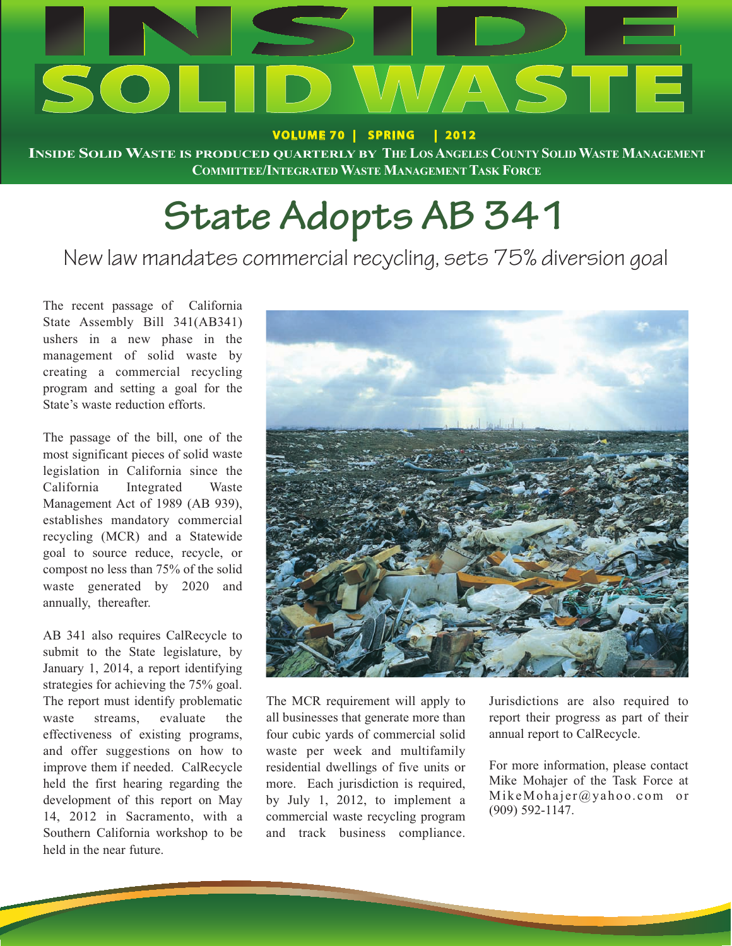

**VOLUME 70 | SPRING | 2012**

**INSIDE SOLIDWASTE IS PRODUCED QUARTERLY BY THE LOSANGELES COUNTY SOLIDWASTE MANAGEMENT COMMITTEE/INTEGRATEDWASTE MANAGEMENT TASK FORCE**

# **State Adopts AB 341**

### New law mandates commercial recycling, sets 75% diversion goal

The recent passage of California State Assembly Bill 341(AB341) ushers in a new phase in the management of solid waste by creating a commercial recycling program and setting a goal for the State's waste reduction efforts.

The passage of the bill, one of the most significant pieces of solid waste legislation in California since the California Integrated Waste Management Act of 1989 (AB 939), establishes mandatory commercial recycling (MCR) and a Statewide goal to source reduce, recycle, or compost no less than 75% of the solid waste generated by 2020 and annually, thereafter.

AB 341 also requires CalRecycle to submit to the State legislature, by January 1, 2014, a report identifying strategies for achieving the 75% goal. The report must identify problematic waste streams, evaluate the effectiveness of existing programs, and offer suggestions on how to improve them if needed. CalRecycle held the first hearing regarding the development of this report on May 14, 2012 in Sacramento, with a Southern California workshop to be held in the near future.



The MCR requirement will apply to all businesses that generate more than four cubic yards of commercial solid waste per week and multifamily residential dwellings of five units or more. Each jurisdiction is required, by July 1, 2012, to implement a commercial waste recycling program and track business compliance.

Jurisdictions are also required to report their progress as part of their annual report to CalRecycle.

For more information, please contact Mike Mohajer of the Task Force at MikeMohajer@yahoo.com or (909) 592-1147.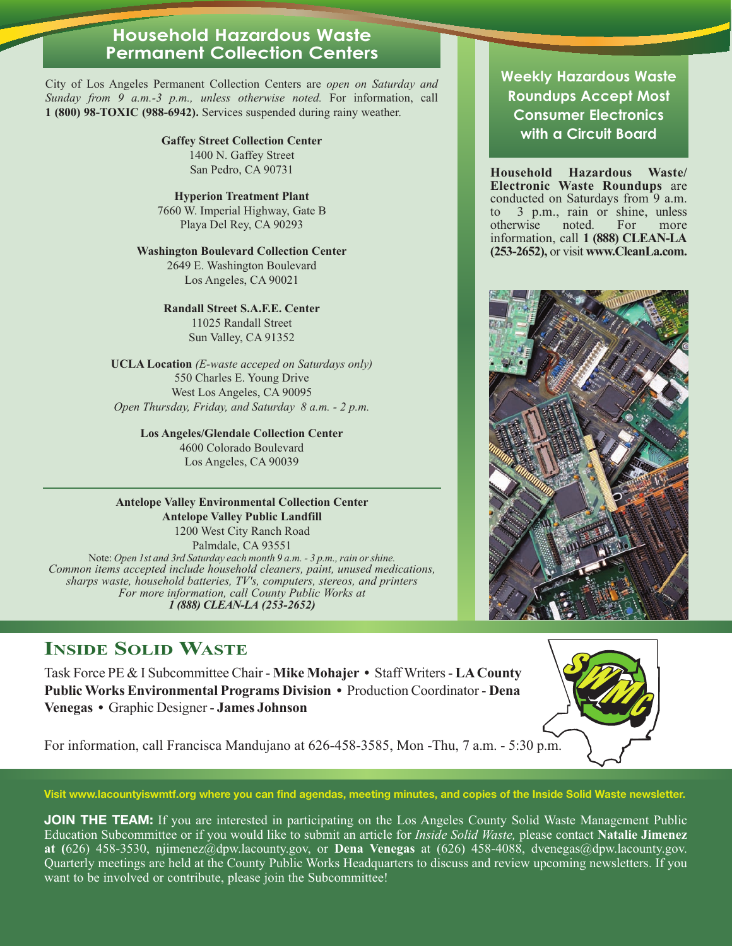#### **Household Hazardous Waste Permanent Collection Centers**

City of Los Angeles Permanent Collection Centers are *open on Saturday and Sunday from 9 a.m.-3 p.m., unless otherwise noted.* For information, call **1 (800) 98-TOXIC (988-6942).** Services suspended during rainy weather.

> **Gaffey Street Collection Center** 1400 N. Gaffey Street San Pedro, CA 90731

**Hyperion Treatment Plant** 7660 W. Imperial Highway, Gate B Playa Del Rey, CA 90293

#### **Washington Boulevard Collection Center** 2649 E. Washington Boulevard

Los Angeles, CA 90021

#### **Randall Street S.A.F.E. Center**

11025 Randall Street Sun Valley, CA 91352

**UCLA Location** *(E-waste acceped on Saturdays only)* 550 Charles E. Young Drive West Los Angeles, CA 90095 *Open Thursday, Friday, and Saturday 8 a.m. - 2 p.m.*

> **Los Angeles/Glendale Collection Center** 4600 Colorado Boulevard Los Angeles, CA 90039

#### **Antelope Valley Environmental Collection Center Antelope Valley Public Landfill**

1200 West City Ranch Road Palmdale, CA 93551 Note: *Open 1st and 3rd Saturday each month 9 a.m. - 3 p.m., rain or shine. Common items accepted include household cleaners, paint, unused medications, sharps waste, household batteries, TV's, computers, stereos, and printers For more information, call County Public Works at 1 (888) CLEAN-LA (253-2652)*

### **INSIDE SOLID WASTE**

Task Force PE & I Subcommittee Chair - **Mike Mohajer •** Staff Writers - **LA County Public Works Environmental Programs Division •** Production Coordinator - **Dena Venegas •** Graphic Designer - **James Johnson**



For information, call Francisca Mandujano at 626-458-3585, Mon -Thu, 7 a.m. - 5:30 p.m.

**Visit www.lacountyiswmtf.org where you can find agendas, meeting minutes, and copies of the Inside Solid Waste newsletter.**

**JOIN THE TEAM:** If you are interested in participating on the Los Angeles County Solid Waste Management Public Education Subcommittee or if you would like to submit an article for *Inside Solid Waste,* please contact **Natalie Jimenez at (**626) 458-3530, njimenez@dpw.lacounty.gov, or **Dena Venegas** at (626) 458-4088, dvenegas@dpw.lacounty.gov. Quarterly meetings are held at the County Public Works Headquarters to discuss and review upcoming newsletters. If you want to be involved or contribute, please join the Subcommittee!

**Weekly Hazardous Waste Roundups Accept Most Consumer Electronics with a Circuit Board**

**Household Hazardous Waste/ Electronic Waste Roundups** are conducted on Saturdays from 9 a.m.<br>to 3 p.m., rain or shine, unless 3 p.m., rain or shine, unless<br>twise noted. For more otherwise noted. For more information, call **1 (888) CLEAN-LA (253-2652),** or visit **www.CleanLa.com.**

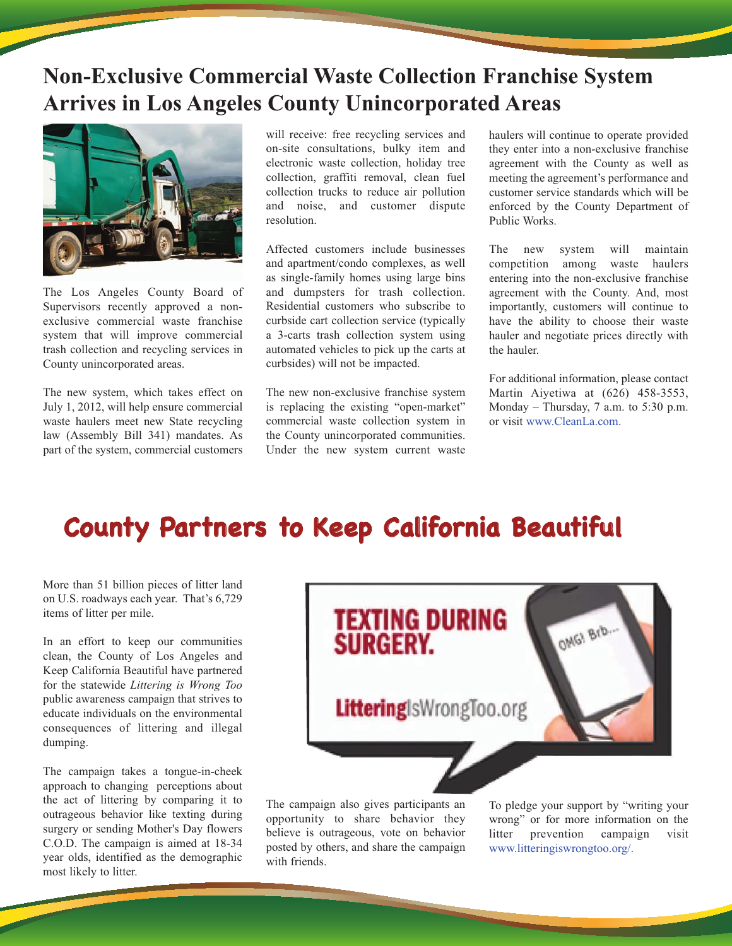### **Non-Exclusive Commercial Waste Collection Franchise System Arrives in Los Angeles County Unincorporated Areas**



The Los Angeles County Board of Supervisors recently approved a nonexclusive commercial waste franchise system that will improve commercial trash collection and recycling services in County unincorporated areas.

The new system, which takes effect on July 1, 2012, will help ensure commercial waste haulers meet new State recycling law (Assembly Bill 341) mandates. As part of the system, commercial customers

will receive: free recycling services and on-site consultations, bulky item and electronic waste collection, holiday tree collection, graffiti removal, clean fuel collection trucks to reduce air pollution and noise, and customer dispute resolution.

Affected customers include businesses and apartment/condo complexes, as well as single-family homes using large bins and dumpsters for trash collection. Residential customers who subscribe to curbside cart collection service (typically a 3-carts trash collection system using automated vehicles to pick up the carts at curbsides) will not be impacted.

The new non-exclusive franchise system is replacing the existing "open-market" commercial waste collection system in the County unincorporated communities. Under the new system current waste

haulers will continue to operate provided they enter into a non-exclusive franchise agreement with the County as well as meeting the agreement's performance and customer service standards which will be enforced by the County Department of Public Works.

The new system will maintain<br>competition among waste haulers competition among entering into the non-exclusive franchise agreement with the County. And, most importantly, customers will continue to have the ability to choose their waste hauler and negotiate prices directly with the hauler.

For additional information, please contact Martin Aiyetiwa at (626) 458-3553, Monday – Thursday, 7 a.m. to 5:30 p.m. or visit www.CleanLa.com.

## **County Partners to Keep California Beautiful**

More than 51 billion pieces of litter land on U.S. roadways each year. That's 6,729 items of litter per mile.

In an effort to keep our communities clean, the County of Los Angeles and Keep California Beautiful have partnered for the statewide *Littering is Wrong Too* public awareness campaign that strives to educate individuals on the environmental consequences of littering and illegal dumping.

The campaign takes a tongue-in-cheek approach to changing perceptions about the act of littering by comparing it to outrageous behavior like texting during surgery or sending Mother's Day flowers C.O.D. The campaign is aimed at 18-34 year olds, identified as the demographic most likely to litter.



The campaign also gives participants an opportunity to share behavior they believe is outrageous, vote on behavior posted by others, and share the campaign with friends.

To pledge your support by "writing your wrong" or for more information on the litter prevention campaign visit www.litteringiswrongtoo.org/.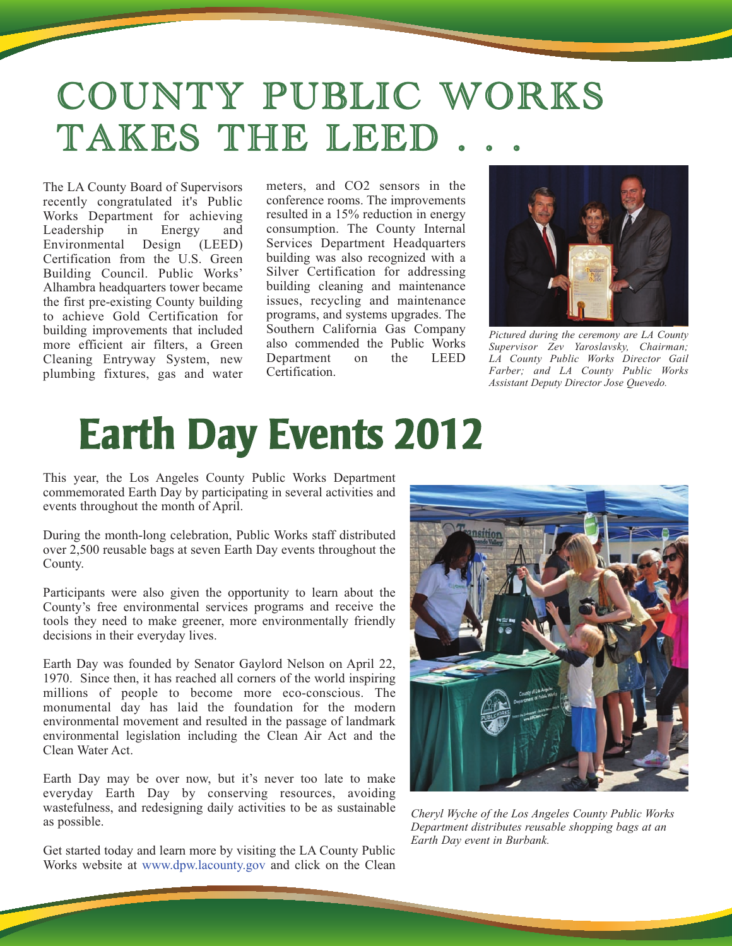# COUNTY PUBLIC WORKS TAKES THE LEED

The LA County Board of Supervisors recently congratulated it's Public Works Department for achieving Leadership in Energy and Environmental Design (LEED) Certification from the U.S. Green Building Council. Public Works' Alhambra headquarters tower became the first pre-existing County building to achieve Gold Certification for building improvements that included more efficient air filters, a Green Cleaning Entryway System, new plumbing fixtures, gas and water meters, and CO2 sensors in the conference rooms. The improvements resulted in a 15% reduction in energy consumption. The County Internal Services Department Headquarters building was also recognized with a Silver Certification for addressing building cleaning and maintenance issues, recycling and maintenance programs, and systems upgrades. The Southern California Gas Company also commended the Public Works Department on the LEED Certification.



*Pictured during the ceremony are LA County Supervisor Zev Yaroslavsky, Chairman; LA County Public Works Director Gail Farber; and LA County Public Works Assistant Deputy Director Jose Quevedo.* 

# **Earth Day Events 2012**

This year, the Los Angeles County Public Works Department commemorated Earth Day by participating in several activities and events throughout the month of April.

During the month-long celebration, Public Works staff distributed over 2,500 reusable bags at seven Earth Day events throughout the County.

Participants were also given the opportunity to learn about the County's free environmental services programs and receive the tools they need to make greener, more environmentally friendly decisions in their everyday lives.

Earth Day was founded by Senator Gaylord Nelson on April 22, 1970. Since then, it has reached all corners of the world inspiring millions of people to become more eco-conscious. The monumental day has laid the foundation for the modern environmental movement and resulted in the passage of landmark environmental legislation including the Clean Air Act and the Clean Water Act.

Earth Day may be over now, but it's never too late to make everyday Earth Day by conserving resources, avoiding wastefulness, and redesigning daily activities to be as sustainable as possible.

Get started today and learn more by visiting the LA County Public Works website at www.dpw.lacounty.gov and click on the Clean



*Cheryl Wyche of the Los Angeles County Public Works Department distributes reusable shopping bags at an Earth Day event in Burbank.*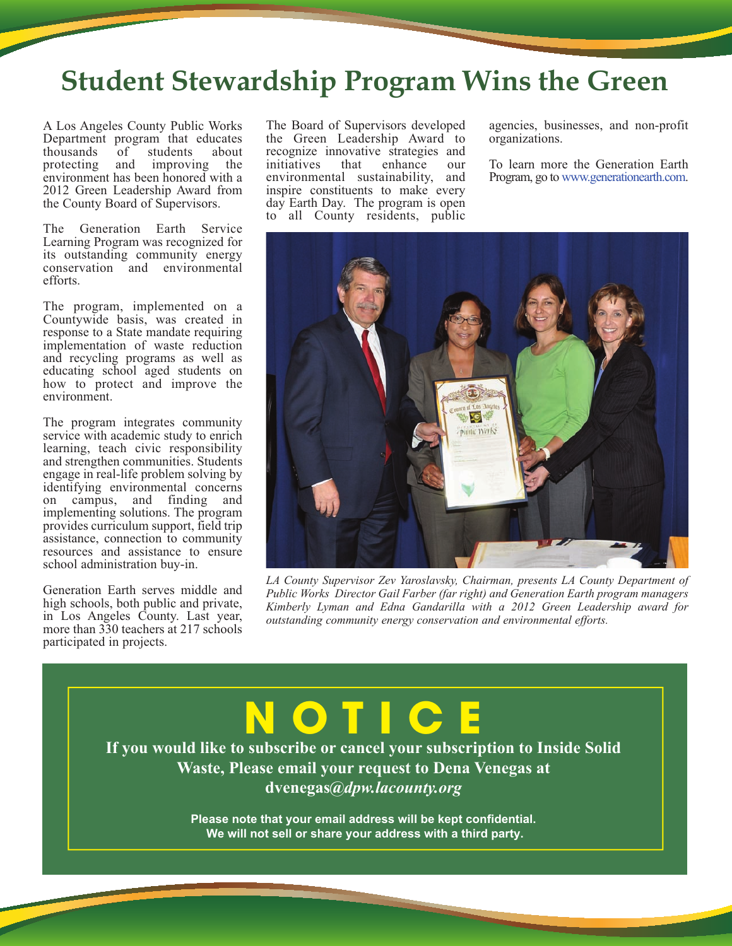## **Student Stewardship Program Wins the Green**

A Los Angeles County Public Works Department program that educates<br>thousands of students about thousands of students<br>protecting and improving and improving the environment has been honored with a 2012 Green Leadership Award from the County Board of Supervisors.

The Generation Earth Service Learning Program was recognized for its outstanding community energy conservation and environmental efforts.

The program, implemented on a Countywide basis, was created in response to a State mandate requiring implementation of waste reduction and recycling programs as well as educating school aged students on how to protect and improve the environment.

The program integrates community service with academic study to enrich learning, teach civic responsibility and strengthen communities. Students engage in real-life problem solving by identifying environmental concerns on campus, and finding and implementing solutions. The program provides curriculum support, field trip assistance, connection to community resources and assistance to ensure school administration buy-in.

Generation Earth serves middle and high schools, both public and private, in Los Angeles County. Last year, more than 330 teachers at 217 schools participated in projects.

The Board of Supervisors developed the Green Leadership Award to recognize innovative strategies and<br>initiatives that enhance our initiatives environmental sustainability, and inspire constituents to make every day Earth Day. The program is open to all County residents, public agencies, businesses, and non-profit organizations.

To learn more the Generation Earth Program, go to www.generationearth.com.



*LA County Supervisor Zev Yaroslavsky, Chairman, presents LA County Department of Public Works Director Gail Farber (far right) and Generation Earth program managers Kimberly Lyman and Edna Gandarilla with a 2012 Green Leadership award for outstanding community energy conservation and environmental efforts.*

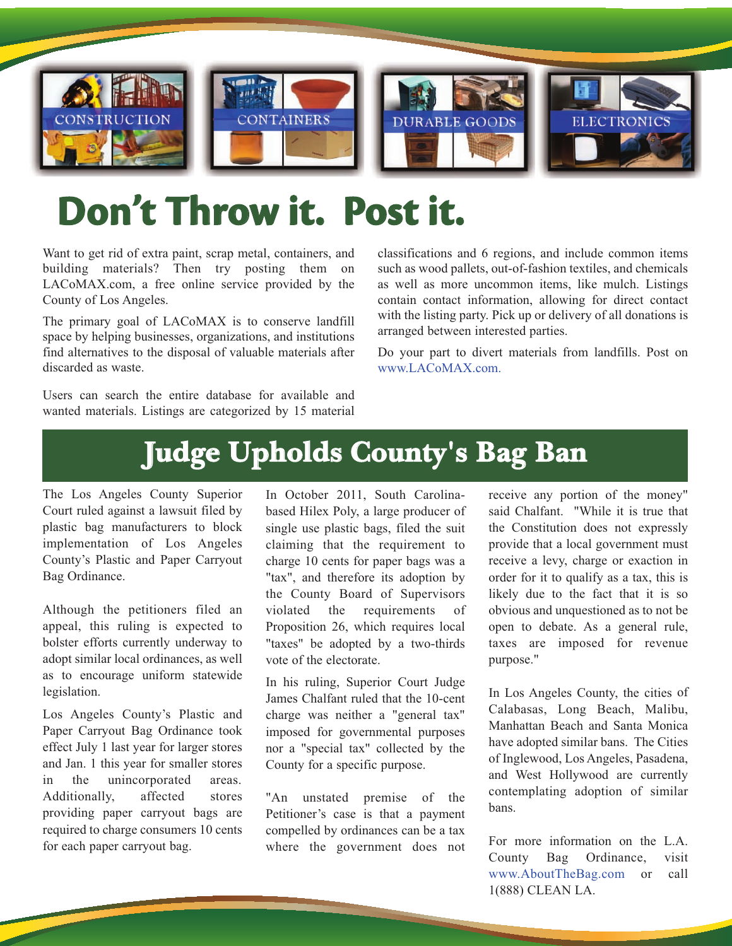

# **Don't Throw it. Post it.**

Want to get rid of extra paint, scrap metal, containers, and building materials? Then try posting them on LACoMAX.com, a free online service provided by the County of Los Angeles.

The primary goal of LACoMAX is to conserve landfill space by helping businesses, organizations, and institutions find alternatives to the disposal of valuable materials after discarded as waste.

Users can search the entire database for available and wanted materials. Listings are categorized by 15 material

classifications and 6 regions, and include common items such as wood pallets, out-of-fashion textiles, and chemicals as well as more uncommon items, like mulch. Listings contain contact information, allowing for direct contact with the listing party. Pick up or delivery of all donations is arranged between interested parties.

Do your part to divert materials from landfills. Post on www.LACoMAX.com.

## **Judge Upholds County's Bag Ban**

The Los Angeles County Superior Court ruled against a lawsuit filed by plastic bag manufacturers to block implementation of Los Angeles County's Plastic and Paper Carryout Bag Ordinance.

Although the petitioners filed an appeal, this ruling is expected to bolster efforts currently underway to adopt similar local ordinances, as well as to encourage uniform statewide legislation.

Los Angeles County's Plastic and Paper Carryout Bag Ordinance took effect July 1 last year for larger stores and Jan. 1 this year for smaller stores in the unincorporated areas. Additionally, affected stores providing paper carryout bags are required to charge consumers 10 cents for each paper carryout bag.

In October 2011, South Carolinabased Hilex Poly, a large producer of single use plastic bags, filed the suit claiming that the requirement to charge 10 cents for paper bags was a "tax", and therefore its adoption by the County Board of Supervisors violated the requirements of Proposition 26, which requires local "taxes" be adopted by a two-thirds vote of the electorate.

In his ruling, Superior Court Judge James Chalfant ruled that the 10-cent charge was neither a "general tax" imposed for governmental purposes nor a "special tax" collected by the County for a specific purpose.

"An unstated premise of the Petitioner's case is that a payment compelled by ordinances can be a tax where the government does not receive any portion of the money" said Chalfant. "While it is true that the Constitution does not expressly provide that a local government must receive a levy, charge or exaction in order for it to qualify as a tax, this is likely due to the fact that it is so obvious and unquestioned as to not be open to debate. As a general rule, taxes are imposed for revenue purpose."

In Los Angeles County, the cities of Calabasas, Long Beach, Malibu, Manhattan Beach and Santa Monica have adopted similar bans. The Cities of Inglewood, Los Angeles, Pasadena, and West Hollywood are currently contemplating adoption of similar bans.

For more information on the L.A. County Bag Ordinance, visit www.AboutTheBag.com or call 1(888) CLEAN LA.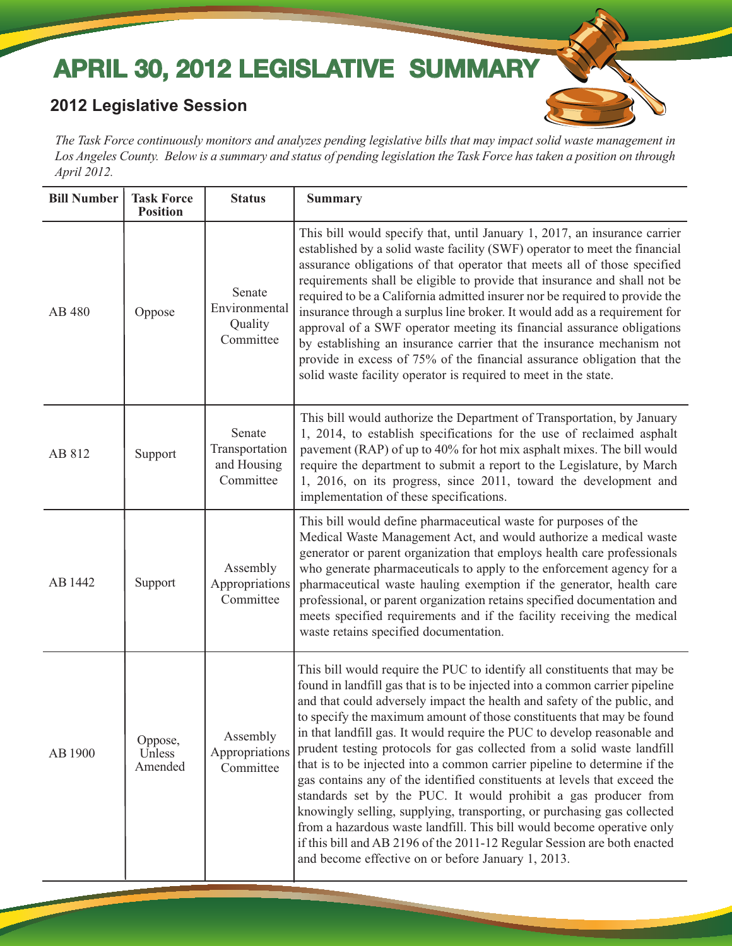## **APRIL 30, 2012 LEGISLATIVE SUMMARY**

#### **2012 Legislative Session**

*The Task Force continuously monitors and analyzes pending legislative bills that may impact solid waste management in Los Angeles County. Below is a summary and status of pending legislation the Task Force has taken a position on through April 2012.* 

| <b>Bill Number</b> | <b>Task Force</b><br><b>Position</b> | <b>Status</b>                                        | <b>Summary</b>                                                                                                                                                                                                                                                                                                                                                                                                                                                                                                                                                                                                                                                                                                                                                                                                                                                                                                                                                                          |
|--------------------|--------------------------------------|------------------------------------------------------|-----------------------------------------------------------------------------------------------------------------------------------------------------------------------------------------------------------------------------------------------------------------------------------------------------------------------------------------------------------------------------------------------------------------------------------------------------------------------------------------------------------------------------------------------------------------------------------------------------------------------------------------------------------------------------------------------------------------------------------------------------------------------------------------------------------------------------------------------------------------------------------------------------------------------------------------------------------------------------------------|
| AB 480             | Oppose                               | Senate<br>Environmental<br>Quality<br>Committee      | This bill would specify that, until January 1, 2017, an insurance carrier<br>established by a solid waste facility (SWF) operator to meet the financial<br>assurance obligations of that operator that meets all of those specified<br>requirements shall be eligible to provide that insurance and shall not be<br>required to be a California admitted insurer nor be required to provide the<br>insurance through a surplus line broker. It would add as a requirement for<br>approval of a SWF operator meeting its financial assurance obligations<br>by establishing an insurance carrier that the insurance mechanism not<br>provide in excess of 75% of the financial assurance obligation that the<br>solid waste facility operator is required to meet in the state.                                                                                                                                                                                                          |
| AB 812             | Support                              | Senate<br>Transportation<br>and Housing<br>Committee | This bill would authorize the Department of Transportation, by January<br>1, 2014, to establish specifications for the use of reclaimed asphalt<br>pavement (RAP) of up to 40% for hot mix asphalt mixes. The bill would<br>require the department to submit a report to the Legislature, by March<br>1, 2016, on its progress, since 2011, toward the development and<br>implementation of these specifications.                                                                                                                                                                                                                                                                                                                                                                                                                                                                                                                                                                       |
| AB 1442            | Support                              | Assembly<br>Appropriations<br>Committee              | This bill would define pharmaceutical waste for purposes of the<br>Medical Waste Management Act, and would authorize a medical waste<br>generator or parent organization that employs health care professionals<br>who generate pharmaceuticals to apply to the enforcement agency for a<br>pharmaceutical waste hauling exemption if the generator, health care<br>professional, or parent organization retains specified documentation and<br>meets specified requirements and if the facility receiving the medical<br>waste retains specified documentation.                                                                                                                                                                                                                                                                                                                                                                                                                        |
| AB 1900            | Oppose,<br>Unless<br>Amended         | Assembly<br>Appropriations<br>Committee              | This bill would require the PUC to identify all constituents that may be<br>found in landfill gas that is to be injected into a common carrier pipeline<br>and that could adversely impact the health and safety of the public, and<br>to specify the maximum amount of those constituents that may be found<br>in that landfill gas. It would require the PUC to develop reasonable and<br>prudent testing protocols for gas collected from a solid waste landfill<br>that is to be injected into a common carrier pipeline to determine if the<br>gas contains any of the identified constituents at levels that exceed the<br>standards set by the PUC. It would prohibit a gas producer from<br>knowingly selling, supplying, transporting, or purchasing gas collected<br>from a hazardous waste landfill. This bill would become operative only<br>if this bill and AB 2196 of the 2011-12 Regular Session are both enacted<br>and become effective on or before January 1, 2013. |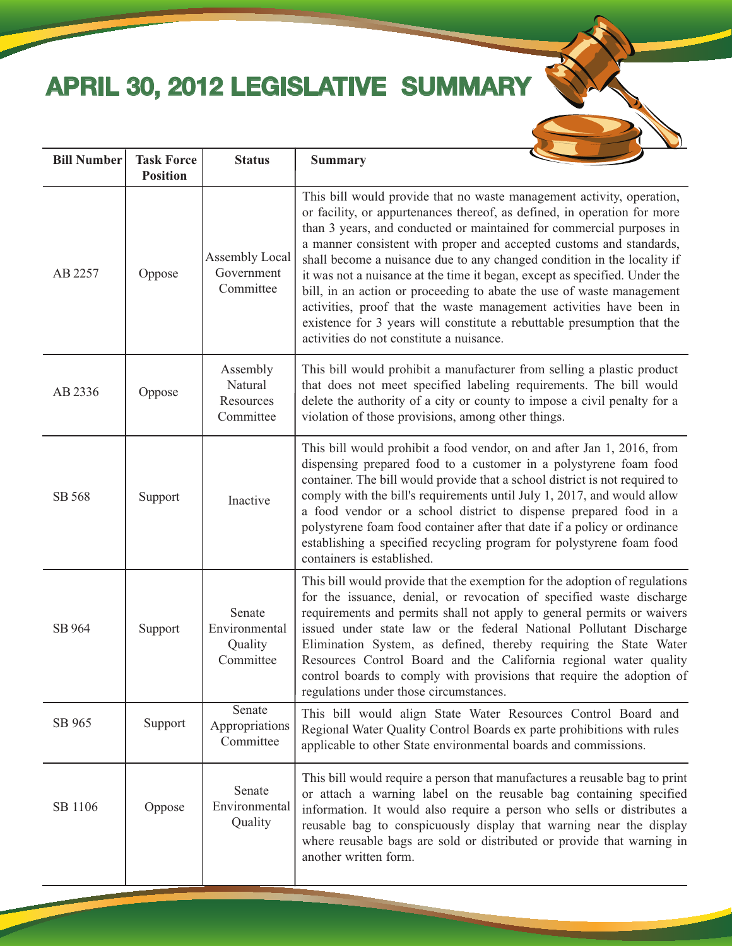# **APRIL 30, 2012 LEGISLATIVE SUMMARY**



| <b>Bill Number</b> | <b>Task Force</b><br><b>Position</b> | <b>Status</b>                                   | <b>Summary</b>                                                                                                                                                                                                                                                                                                                                                                                                                                                                                                                                                                                                                                                                                                                   |
|--------------------|--------------------------------------|-------------------------------------------------|----------------------------------------------------------------------------------------------------------------------------------------------------------------------------------------------------------------------------------------------------------------------------------------------------------------------------------------------------------------------------------------------------------------------------------------------------------------------------------------------------------------------------------------------------------------------------------------------------------------------------------------------------------------------------------------------------------------------------------|
| AB 2257            | Oppose                               | Assembly Local<br>Government<br>Committee       | This bill would provide that no waste management activity, operation,<br>or facility, or appurtenances thereof, as defined, in operation for more<br>than 3 years, and conducted or maintained for commercial purposes in<br>a manner consistent with proper and accepted customs and standards,<br>shall become a nuisance due to any changed condition in the locality if<br>it was not a nuisance at the time it began, except as specified. Under the<br>bill, in an action or proceeding to abate the use of waste management<br>activities, proof that the waste management activities have been in<br>existence for 3 years will constitute a rebuttable presumption that the<br>activities do not constitute a nuisance. |
| AB 2336            | Oppose                               | Assembly<br>Natural<br>Resources<br>Committee   | This bill would prohibit a manufacturer from selling a plastic product<br>that does not meet specified labeling requirements. The bill would<br>delete the authority of a city or county to impose a civil penalty for a<br>violation of those provisions, among other things.                                                                                                                                                                                                                                                                                                                                                                                                                                                   |
| SB 568             | Support                              | Inactive                                        | This bill would prohibit a food vendor, on and after Jan 1, 2016, from<br>dispensing prepared food to a customer in a polystyrene foam food<br>container. The bill would provide that a school district is not required to<br>comply with the bill's requirements until July 1, 2017, and would allow<br>a food vendor or a school district to dispense prepared food in a<br>polystyrene foam food container after that date if a policy or ordinance<br>establishing a specified recycling program for polystyrene foam food<br>containers is established.                                                                                                                                                                     |
| SB 964             | Support                              | Senate<br>Environmental<br>Quality<br>Committee | This bill would provide that the exemption for the adoption of regulations<br>for the issuance, denial, or revocation of specified waste discharge<br>requirements and permits shall not apply to general permits or waivers<br>issued under state law or the federal National Pollutant Discharge<br>Elimination System, as defined, thereby requiring the State Water<br>Resources Control Board and the California regional water quality<br>control boards to comply with provisions that require the adoption of<br>regulations under those circumstances.                                                                                                                                                                  |
| SB 965             | Support                              | Senate<br>Appropriations<br>Committee           | This bill would align State Water Resources Control Board and<br>Regional Water Quality Control Boards ex parte prohibitions with rules<br>applicable to other State environmental boards and commissions.                                                                                                                                                                                                                                                                                                                                                                                                                                                                                                                       |
| SB 1106            | Oppose                               | Senate<br>Environmental<br>Quality              | This bill would require a person that manufactures a reusable bag to print<br>or attach a warning label on the reusable bag containing specified<br>information. It would also require a person who sells or distributes a<br>reusable bag to conspicuously display that warning near the display<br>where reusable bags are sold or distributed or provide that warning in<br>another written form.                                                                                                                                                                                                                                                                                                                             |